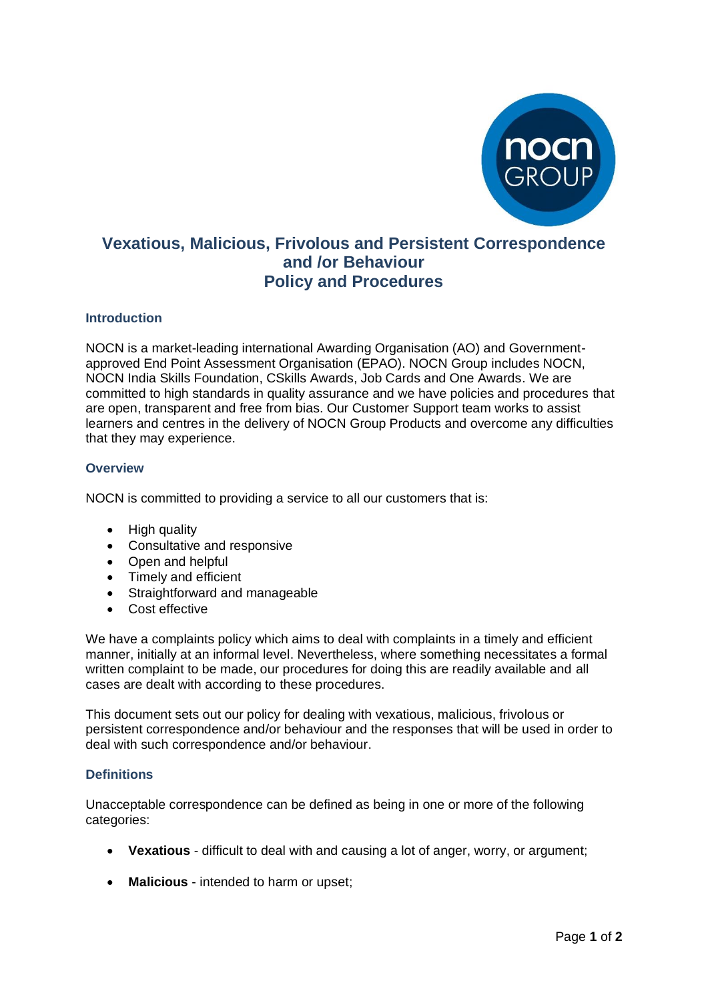

# **Vexatious, Malicious, Frivolous and Persistent Correspondence and /or Behaviour Policy and Procedures**

### **Introduction**

NOCN is a market-leading international Awarding Organisation (AO) and Governmentapproved End Point Assessment Organisation (EPAO). [NOCN Group](https://www.nocn.org.uk/about/nocn-group/) includes NOCN, NOCN India Skills Foundation, CSkills Awards, Job Cards and One Awards. We are committed to high standards in quality assurance and we have policies and procedures that are open, transparent and free from bias. Our Customer Support team works to assist learners and centres in the delivery of NOCN Group Products and overcome any difficulties that they may experience.

### **Overview**

NOCN is committed to providing a service to all our customers that is:

- High quality
- Consultative and responsive
- Open and helpful
- Timely and efficient
- Straightforward and manageable
- Cost effective

We have a complaints policy which aims to deal with complaints in a timely and efficient manner, initially at an informal level. Nevertheless, where something necessitates a formal written complaint to be made, our procedures for doing this are readily available and all cases are dealt with according to these procedures.

This document sets out our policy for dealing with vexatious, malicious, frivolous or persistent correspondence and/or behaviour and the responses that will be used in order to deal with such correspondence and/or behaviour.

## **Definitions**

Unacceptable correspondence can be defined as being in one or more of the following categories:

- **Vexatious** [difficult](http://dictionary.cambridge.org/search/british/direct/?q=difficult) to [deal](http://dictionary.cambridge.org/search/british/direct/?q=deal) with and [causing](http://dictionary.cambridge.org/search/british/direct/?q=causing) a lot of [anger,](http://dictionary.cambridge.org/search/british/direct/?q=anger) [worry,](http://dictionary.cambridge.org/search/british/direct/?q=worry) or [argument;](http://dictionary.cambridge.org/search/british/direct/?q=argument)
- **Malicious** intended to harm or upset;